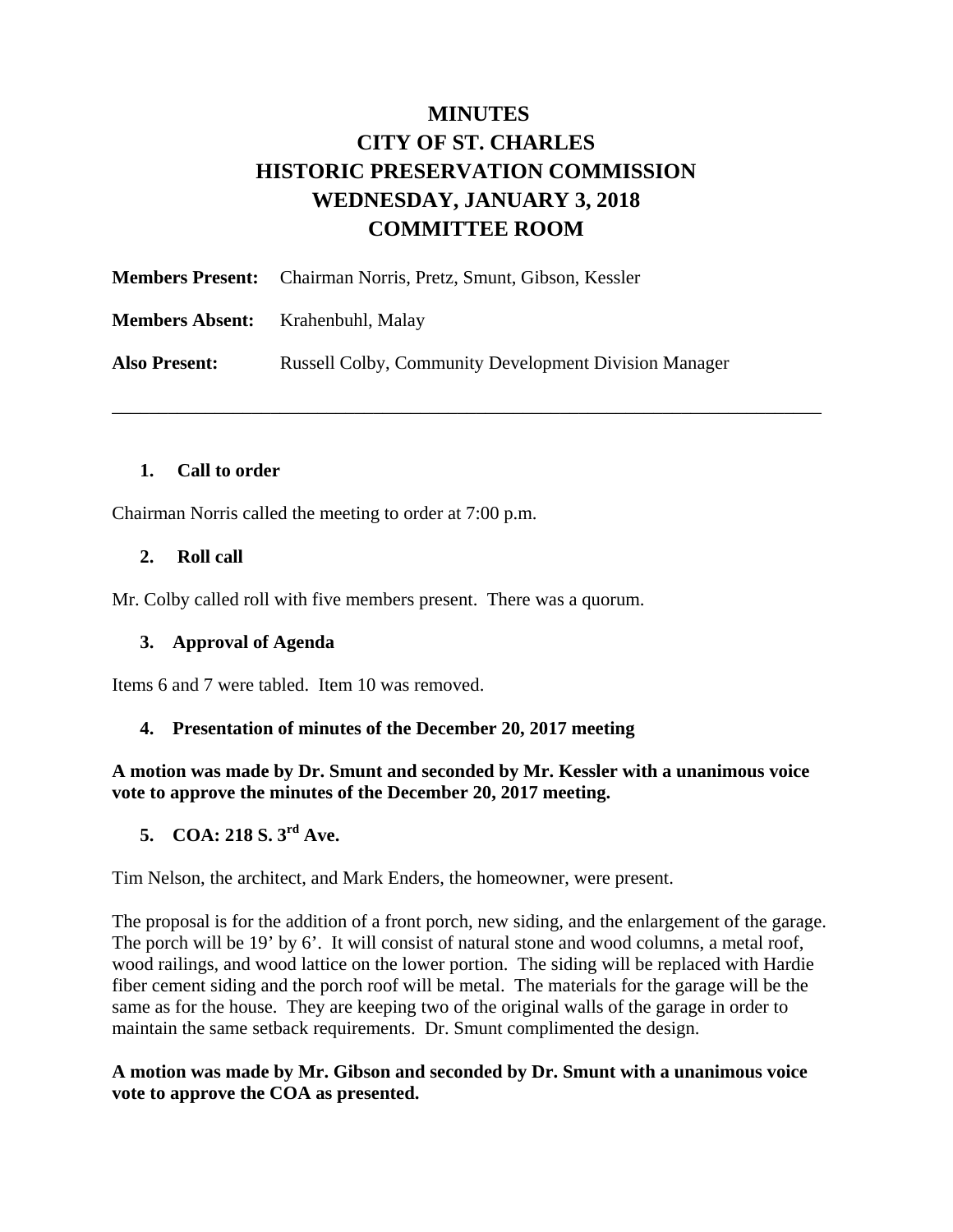# **MINUTES CITY OF ST. CHARLES HISTORIC PRESERVATION COMMISSION WEDNESDAY, JANUARY 3, 2018 COMMITTEE ROOM**

\_\_\_\_\_\_\_\_\_\_\_\_\_\_\_\_\_\_\_\_\_\_\_\_\_\_\_\_\_\_\_\_\_\_\_\_\_\_\_\_\_\_\_\_\_\_\_\_\_\_\_\_\_\_\_\_\_\_\_\_\_\_\_\_\_\_\_\_\_\_\_\_\_\_\_\_

|                      | <b>Members Present:</b> Chairman Norris, Pretz, Smunt, Gibson, Kessler |
|----------------------|------------------------------------------------------------------------|
|                      | <b>Members Absent:</b> Krahenbuhl, Malay                               |
| <b>Also Present:</b> | <b>Russell Colby, Community Development Division Manager</b>           |

#### **1. Call to order**

Chairman Norris called the meeting to order at 7:00 p.m.

#### **2. Roll call**

Mr. Colby called roll with five members present. There was a quorum.

#### **3. Approval of Agenda**

Items 6 and 7 were tabled. Item 10 was removed.

#### **4. Presentation of minutes of the December 20, 2017 meeting**

**A motion was made by Dr. Smunt and seconded by Mr. Kessler with a unanimous voice vote to approve the minutes of the December 20, 2017 meeting.** 

# **5. COA: 218 S. 3rd Ave.**

Tim Nelson, the architect, and Mark Enders, the homeowner, were present.

The proposal is for the addition of a front porch, new siding, and the enlargement of the garage. The porch will be 19' by 6'. It will consist of natural stone and wood columns, a metal roof, wood railings, and wood lattice on the lower portion. The siding will be replaced with Hardie fiber cement siding and the porch roof will be metal. The materials for the garage will be the same as for the house. They are keeping two of the original walls of the garage in order to maintain the same setback requirements. Dr. Smunt complimented the design.

#### **A motion was made by Mr. Gibson and seconded by Dr. Smunt with a unanimous voice vote to approve the COA as presented.**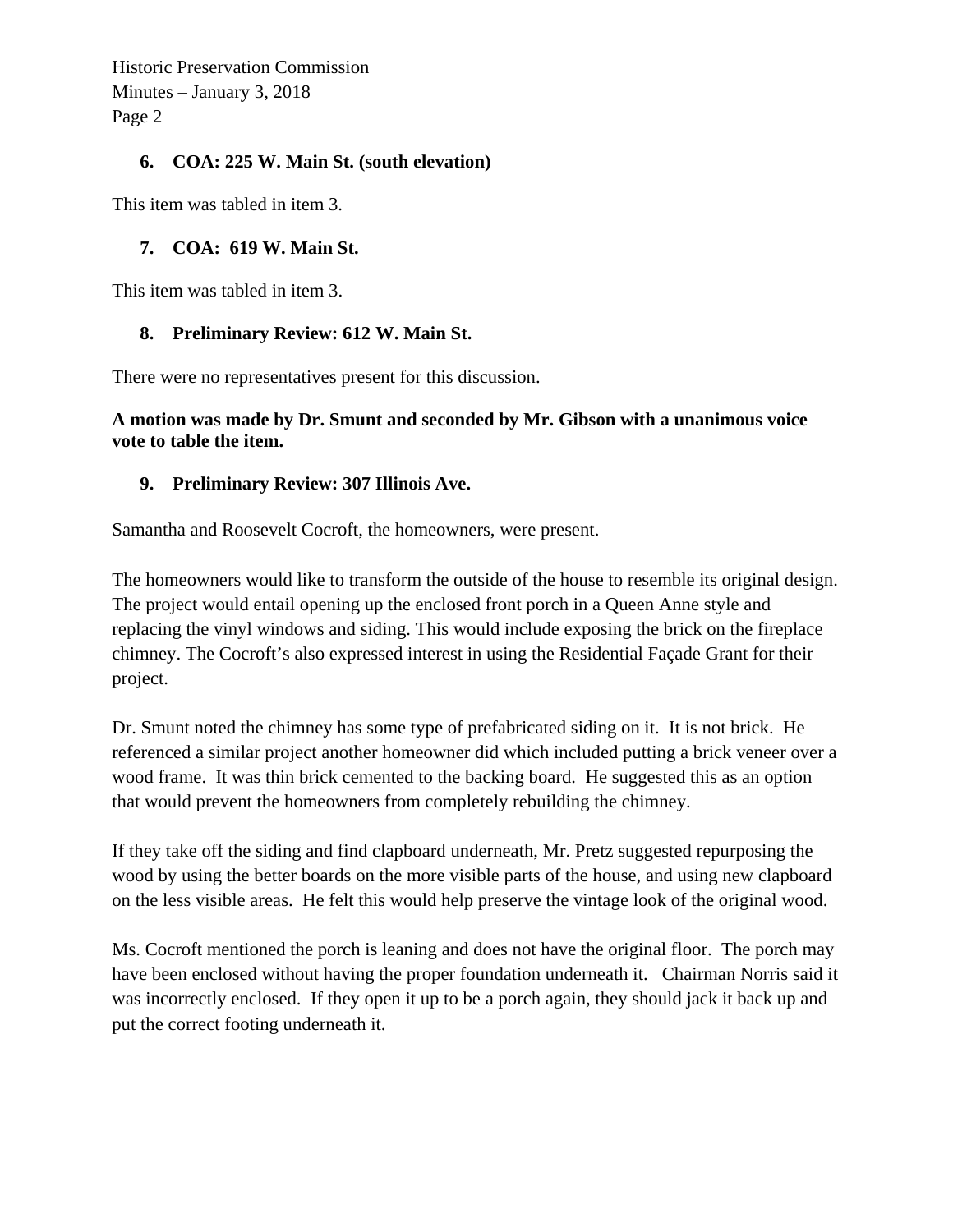Historic Preservation Commission Minutes – January 3, 2018 Page 2

## **6. COA: 225 W. Main St. (south elevation)**

This item was tabled in item 3.

## **7. COA: 619 W. Main St.**

This item was tabled in item 3.

## **8. Preliminary Review: 612 W. Main St.**

There were no representatives present for this discussion.

#### **A motion was made by Dr. Smunt and seconded by Mr. Gibson with a unanimous voice vote to table the item.**

## **9. Preliminary Review: 307 Illinois Ave.**

Samantha and Roosevelt Cocroft, the homeowners, were present.

The homeowners would like to transform the outside of the house to resemble its original design. The project would entail opening up the enclosed front porch in a Queen Anne style and replacing the vinyl windows and siding. This would include exposing the brick on the fireplace chimney. The Cocroft's also expressed interest in using the Residential Façade Grant for their project.

Dr. Smunt noted the chimney has some type of prefabricated siding on it. It is not brick. He referenced a similar project another homeowner did which included putting a brick veneer over a wood frame. It was thin brick cemented to the backing board. He suggested this as an option that would prevent the homeowners from completely rebuilding the chimney.

If they take off the siding and find clapboard underneath, Mr. Pretz suggested repurposing the wood by using the better boards on the more visible parts of the house, and using new clapboard on the less visible areas. He felt this would help preserve the vintage look of the original wood.

Ms. Cocroft mentioned the porch is leaning and does not have the original floor. The porch may have been enclosed without having the proper foundation underneath it. Chairman Norris said it was incorrectly enclosed. If they open it up to be a porch again, they should jack it back up and put the correct footing underneath it.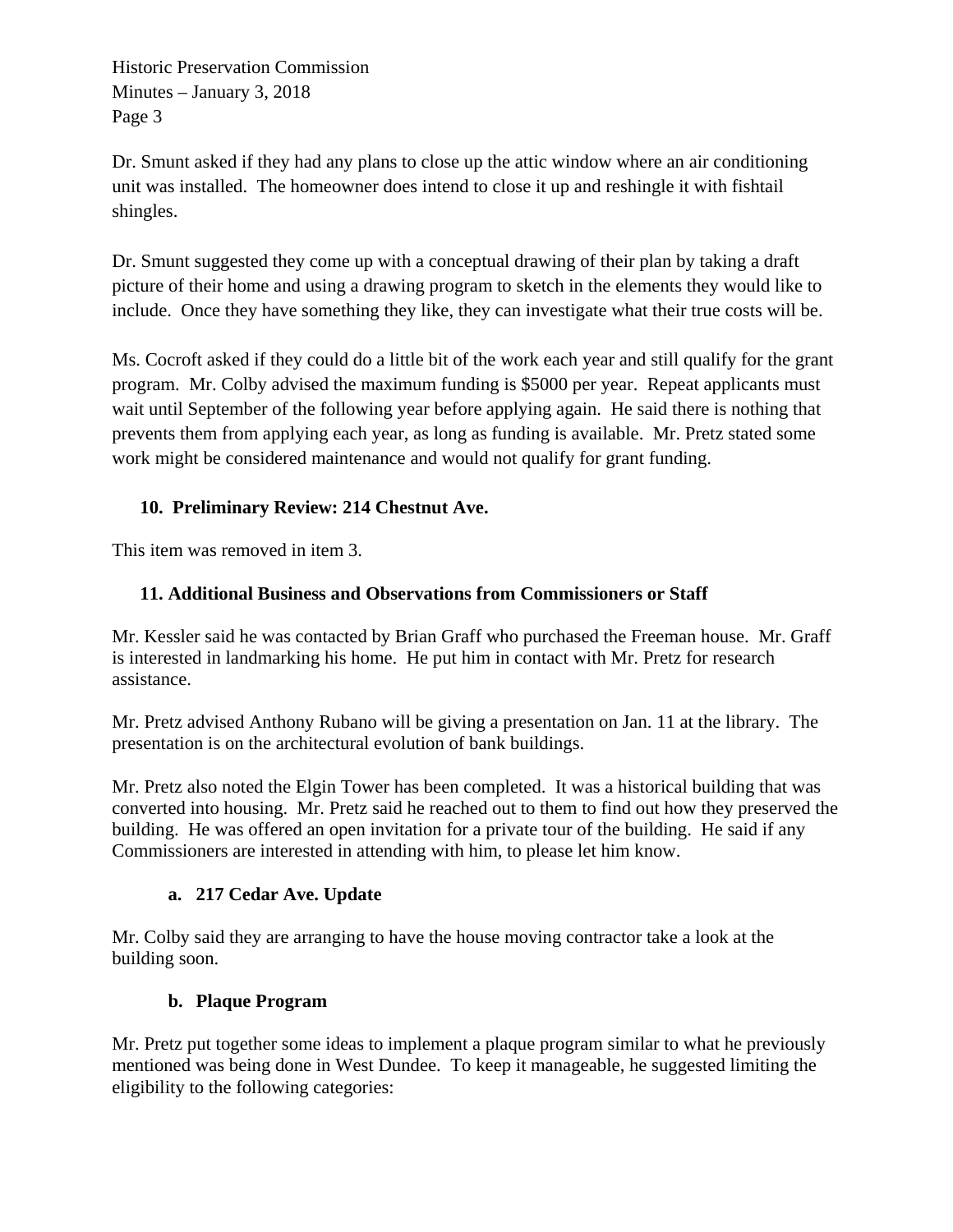Historic Preservation Commission Minutes – January 3, 2018 Page 3

Dr. Smunt asked if they had any plans to close up the attic window where an air conditioning unit was installed. The homeowner does intend to close it up and reshingle it with fishtail shingles.

Dr. Smunt suggested they come up with a conceptual drawing of their plan by taking a draft picture of their home and using a drawing program to sketch in the elements they would like to include. Once they have something they like, they can investigate what their true costs will be.

Ms. Cocroft asked if they could do a little bit of the work each year and still qualify for the grant program. Mr. Colby advised the maximum funding is \$5000 per year. Repeat applicants must wait until September of the following year before applying again. He said there is nothing that prevents them from applying each year, as long as funding is available. Mr. Pretz stated some work might be considered maintenance and would not qualify for grant funding.

# **10. Preliminary Review: 214 Chestnut Ave.**

This item was removed in item 3.

# **11. Additional Business and Observations from Commissioners or Staff**

Mr. Kessler said he was contacted by Brian Graff who purchased the Freeman house. Mr. Graff is interested in landmarking his home. He put him in contact with Mr. Pretz for research assistance.

Mr. Pretz advised Anthony Rubano will be giving a presentation on Jan. 11 at the library. The presentation is on the architectural evolution of bank buildings.

Mr. Pretz also noted the Elgin Tower has been completed. It was a historical building that was converted into housing. Mr. Pretz said he reached out to them to find out how they preserved the building. He was offered an open invitation for a private tour of the building. He said if any Commissioners are interested in attending with him, to please let him know.

# **a. 217 Cedar Ave. Update**

Mr. Colby said they are arranging to have the house moving contractor take a look at the building soon.

# **b. Plaque Program**

Mr. Pretz put together some ideas to implement a plaque program similar to what he previously mentioned was being done in West Dundee. To keep it manageable, he suggested limiting the eligibility to the following categories: